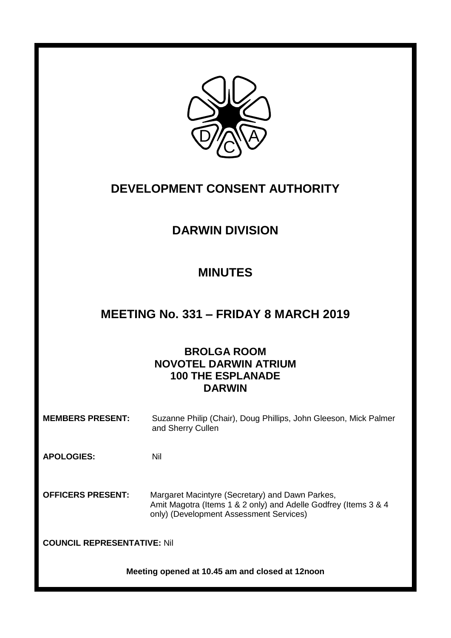

# **DEVELOPMENT CONSENT AUTHORITY**

# **DARWIN DIVISION**

# **MINUTES**

# **MEETING No. 331 – FRIDAY 8 MARCH 2019**

# **BROLGA ROOM NOVOTEL DARWIN ATRIUM 100 THE ESPLANADE DARWIN**

**MEMBERS PRESENT:** Suzanne Philip (Chair), Doug Phillips, John Gleeson, Mick Palmer and Sherry Cullen

**APOLOGIES:** Nil

**OFFICERS PRESENT:** Margaret Macintyre (Secretary) and Dawn Parkes, Amit Magotra (Items 1 & 2 only) and Adelle Godfrey (Items 3 & 4 only) (Development Assessment Services)

**COUNCIL REPRESENTATIVE:** Nil

**Meeting opened at 10.45 am and closed at 12noon**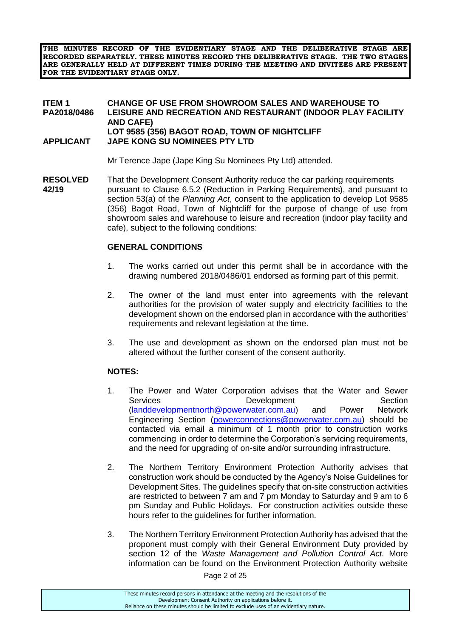**THE MINUTES RECORD OF THE EVIDENTIARY STAGE AND THE DELIBERATIVE STAGE ARE RECORDED SEPARATELY. THESE MINUTES RECORD THE DELIBERATIVE STAGE. THE TWO STAGES ARE GENERALLY HELD AT DIFFERENT TIMES DURING THE MEETING AND INVITEES ARE PRESENT FOR THE EVIDENTIARY STAGE ONLY.**

#### **ITEM 1 CHANGE OF USE FROM SHOWROOM SALES AND WAREHOUSE TO LEISURE AND RECREATION AND RESTAURANT (INDOOR PLAY FACILITY) AND CAFE) LOT 9585 (356) BAGOT ROAD, TOWN OF NIGHTCLIFF APPLICANT JAPE KONG SU NOMINEES PTY LTD**

Mr Terence Jape (Jape King Su Nominees Pty Ltd) attended.

**RESOLVED** That the Development Consent Authority reduce the car parking requirements **42/19** pursuant to Clause 6.5.2 (Reduction in Parking Requirements), and pursuant to section 53(a) of the *Planning Act*, consent to the application to develop Lot 9585 (356) Bagot Road, Town of Nightcliff for the purpose of change of use from showroom sales and warehouse to leisure and recreation (indoor play facility and cafe), subject to the following conditions:

### **GENERAL CONDITIONS**

- 1. The works carried out under this permit shall be in accordance with the drawing numbered 2018/0486/01 endorsed as forming part of this permit.
- 2. The owner of the land must enter into agreements with the relevant authorities for the provision of water supply and electricity facilities to the development shown on the endorsed plan in accordance with the authorities' requirements and relevant legislation at the time.
- 3. The use and development as shown on the endorsed plan must not be altered without the further consent of the consent authority.

# **NOTES:**

- 1. The Power and Water Corporation advises that the Water and Sewer Services **Development** Development Section [\(landdevelopmentnorth@powerwater.com.au\)](mailto:landdevelopmentnorth@powerwater.com.au) and Power Network Engineering Section [\(powerconnections@powerwater.com.au\)](mailto:powerconnections@powerwater.com.au) should be contacted via email a minimum of 1 month prior to construction works commencing in order to determine the Corporation's servicing requirements, and the need for upgrading of on-site and/or surrounding infrastructure.
- 2. The Northern Territory Environment Protection Authority advises that construction work should be conducted by the Agency's Noise Guidelines for Development Sites. The guidelines specify that on-site construction activities are restricted to between 7 am and 7 pm Monday to Saturday and 9 am to 6 pm Sunday and Public Holidays. For construction activities outside these hours refer to the guidelines for further information.
- 3. The Northern Territory Environment Protection Authority has advised that the proponent must comply with their General Environment Duty provided by section 12 of the *Waste Management and Pollution Control Act.* More information can be found on the Environment Protection Authority website

Page 2 of 25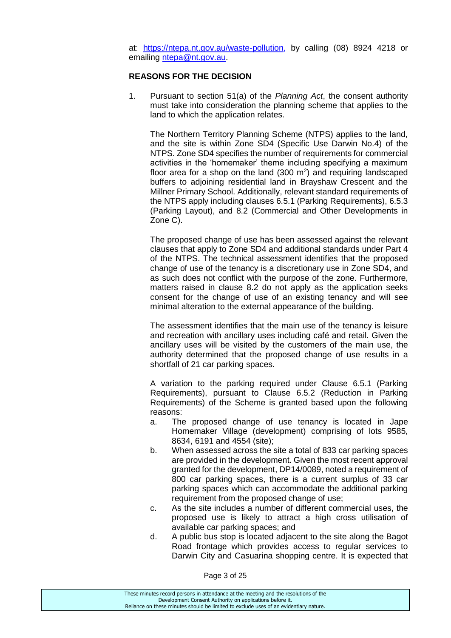at: [https://ntepa.nt.gov.au/waste-pollution,](https://ntepa.nt.gov.au/waste-pollution) by calling (08) 8924 4218 or emailing [ntepa@nt.gov.au.](mailto:ntepa@nt.gov.au)

#### **REASONS FOR THE DECISION**

1. Pursuant to section 51(a) of the *Planning Act*, the consent authority must take into consideration the planning scheme that applies to the land to which the application relates.

The Northern Territory Planning Scheme (NTPS) applies to the land, and the site is within Zone SD4 (Specific Use Darwin No.4) of the NTPS. Zone SD4 specifies the number of requirements for commercial activities in the 'homemaker' theme including specifying a maximum floor area for a shop on the land  $(300 \text{ m}^2)$  and requiring landscaped buffers to adjoining residential land in Brayshaw Crescent and the Millner Primary School. Additionally, relevant standard requirements of the NTPS apply including clauses 6.5.1 (Parking Requirements), 6.5.3 (Parking Layout), and 8.2 (Commercial and Other Developments in Zone C).

The proposed change of use has been assessed against the relevant clauses that apply to Zone SD4 and additional standards under Part 4 of the NTPS. The technical assessment identifies that the proposed change of use of the tenancy is a discretionary use in Zone SD4, and as such does not conflict with the purpose of the zone. Furthermore, matters raised in clause 8.2 do not apply as the application seeks consent for the change of use of an existing tenancy and will see minimal alteration to the external appearance of the building.

The assessment identifies that the main use of the tenancy is leisure and recreation with ancillary uses including café and retail. Given the ancillary uses will be visited by the customers of the main use, the authority determined that the proposed change of use results in a shortfall of 21 car parking spaces.

A variation to the parking required under Clause 6.5.1 (Parking Requirements), pursuant to Clause 6.5.2 (Reduction in Parking Requirements) of the Scheme is granted based upon the following reasons:

- a. The proposed change of use tenancy is located in Jape Homemaker Village (development) comprising of lots 9585, 8634, 6191 and 4554 (site);
- b. When assessed across the site a total of 833 car parking spaces are provided in the development. Given the most recent approval granted for the development, DP14/0089, noted a requirement of 800 car parking spaces, there is a current surplus of 33 car parking spaces which can accommodate the additional parking requirement from the proposed change of use;
- c. As the site includes a number of different commercial uses, the proposed use is likely to attract a high cross utilisation of available car parking spaces; and
- d. A public bus stop is located adjacent to the site along the Bagot Road frontage which provides access to regular services to Darwin City and Casuarina shopping centre. It is expected that

Page 3 of 25

| These minutes record persons in attendance at the meeting and the resolutions of the  |
|---------------------------------------------------------------------------------------|
| Development Consent Authority on applications before it.                              |
| Reliance on these minutes should be limited to exclude uses of an evidentiary nature. |
|                                                                                       |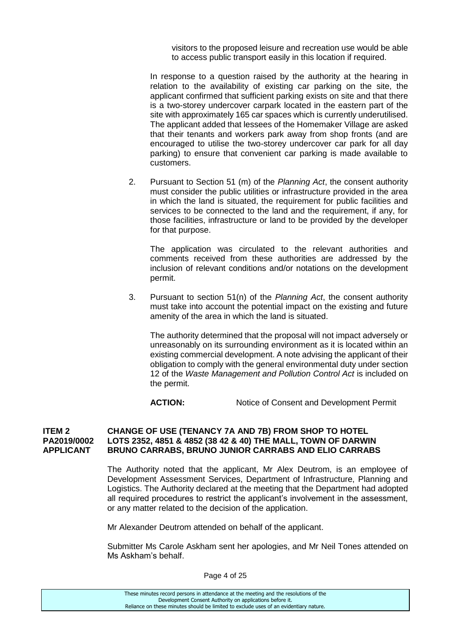visitors to the proposed leisure and recreation use would be able to access public transport easily in this location if required.

In response to a question raised by the authority at the hearing in relation to the availability of existing car parking on the site, the applicant confirmed that sufficient parking exists on site and that there is a two-storey undercover carpark located in the eastern part of the site with approximately 165 car spaces which is currently underutilised. The applicant added that lessees of the Homemaker Village are asked that their tenants and workers park away from shop fronts (and are encouraged to utilise the two-storey undercover car park for all day parking) to ensure that convenient car parking is made available to customers.

2. Pursuant to Section 51 (m) of the *Planning Act*, the consent authority must consider the public utilities or infrastructure provided in the area in which the land is situated, the requirement for public facilities and services to be connected to the land and the requirement, if any, for those facilities, infrastructure or land to be provided by the developer for that purpose.

The application was circulated to the relevant authorities and comments received from these authorities are addressed by the inclusion of relevant conditions and/or notations on the development permit.

3. Pursuant to section 51(n) of the *Planning Act*, the consent authority must take into account the potential impact on the existing and future amenity of the area in which the land is situated.

The authority determined that the proposal will not impact adversely or unreasonably on its surrounding environment as it is located within an existing commercial development. A note advising the applicant of their obligation to comply with the general environmental duty under section 12 of the *Waste Management and Pollution Control Act* is included on the permit.

ACTION: Notice of Consent and Development Permit

#### **ITEM 2 CHANGE OF USE (TENANCY 7A AND 7B) FROM SHOP TO HOTEL PA2019/0002 LOTS 2352, 4851 & 4852 (38 42 & 40) THE MALL, TOWN OF DARWIN APPLICANT BRUNO CARRABS, BRUNO JUNIOR CARRABS AND ELIO CARRABS**

The Authority noted that the applicant, Mr Alex Deutrom, is an employee of Development Assessment Services, Department of Infrastructure, Planning and Logistics. The Authority declared at the meeting that the Department had adopted all required procedures to restrict the applicant's involvement in the assessment, or any matter related to the decision of the application.

Mr Alexander Deutrom attended on behalf of the applicant.

Submitter Ms Carole Askham sent her apologies, and Mr Neil Tones attended on Ms Askham's behalf.

| These minutes record persons in attendance at the meeting and the resolutions of the  |
|---------------------------------------------------------------------------------------|
| Development Consent Authority on applications before it.                              |
| Reliance on these minutes should be limited to exclude uses of an evidentiary nature. |
|                                                                                       |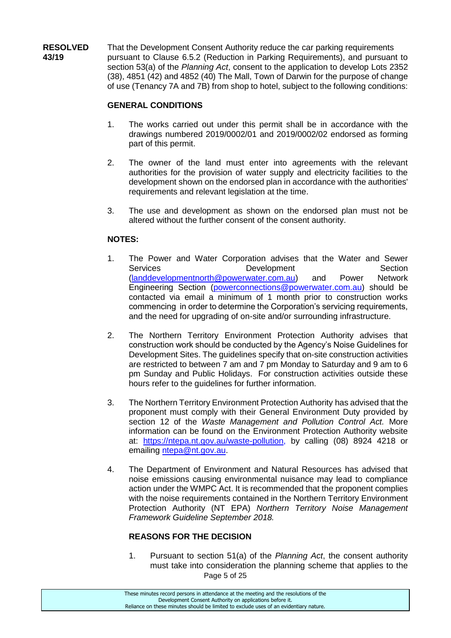**RESOLVED** That the Development Consent Authority reduce the car parking requirements **43/19** pursuant to Clause 6.5.2 (Reduction in Parking Requirements), and pursuant to section 53(a) of the *Planning Act*, consent to the application to develop Lots 2352 (38), 4851 (42) and 4852 (40) The Mall, Town of Darwin for the purpose of change of use (Tenancy 7A and 7B) from shop to hotel, subject to the following conditions:

## **GENERAL CONDITIONS**

- 1. The works carried out under this permit shall be in accordance with the drawings numbered 2019/0002/01 and 2019/0002/02 endorsed as forming part of this permit.
- 2. The owner of the land must enter into agreements with the relevant authorities for the provision of water supply and electricity facilities to the development shown on the endorsed plan in accordance with the authorities' requirements and relevant legislation at the time.
- 3. The use and development as shown on the endorsed plan must not be altered without the further consent of the consent authority.

### **NOTES:**

- 1. The Power and Water Corporation advises that the Water and Sewer Services **Development** Section<br>
(landdevelopmentnorth@powerwater.com.au) and Power Network [\(landdevelopmentnorth@powerwater.com.au\)](mailto:landdevelopmentnorth@powerwater.com.au) and Power Engineering Section [\(powerconnections@powerwater.com.au\)](mailto:powerconnections@powerwater.com.au) should be contacted via email a minimum of 1 month prior to construction works commencing in order to determine the Corporation's servicing requirements, and the need for upgrading of on-site and/or surrounding infrastructure.
- 2. The Northern Territory Environment Protection Authority advises that construction work should be conducted by the Agency's Noise Guidelines for Development Sites. The guidelines specify that on-site construction activities are restricted to between 7 am and 7 pm Monday to Saturday and 9 am to 6 pm Sunday and Public Holidays. For construction activities outside these hours refer to the guidelines for further information.
- 3. The Northern Territory Environment Protection Authority has advised that the proponent must comply with their General Environment Duty provided by section 12 of the *Waste Management and Pollution Control Act.* More information can be found on the Environment Protection Authority website at: [https://ntepa.nt.gov.au/waste-pollution,](https://ntepa.nt.gov.au/waste-pollution) by calling (08) 8924 4218 or emailing [ntepa@nt.gov.au.](mailto:ntepa@nt.gov.au)
- 4. The Department of Environment and Natural Resources has advised that noise emissions causing environmental nuisance may lead to compliance action under the WMPC Act. It is recommended that the proponent complies with the noise requirements contained in the Northern Territory Environment Protection Authority (NT EPA) *Northern Territory Noise Management Framework Guideline September 2018.*

#### **REASONS FOR THE DECISION**

Page 5 of 25 1. Pursuant to section 51(a) of the *Planning Act*, the consent authority must take into consideration the planning scheme that applies to the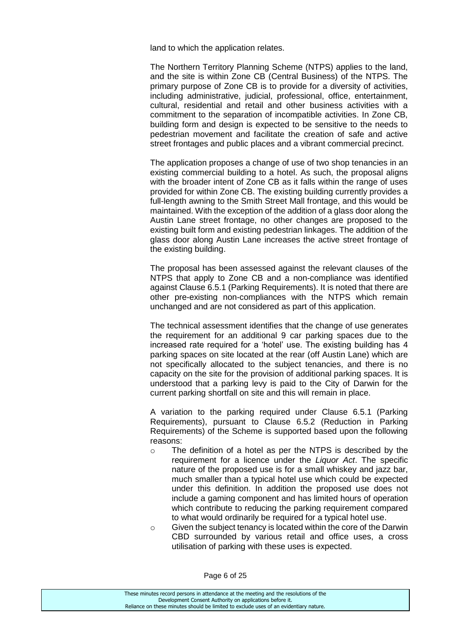land to which the application relates.

The Northern Territory Planning Scheme (NTPS) applies to the land, and the site is within Zone CB (Central Business) of the NTPS. The primary purpose of Zone CB is to provide for a diversity of activities, including administrative, judicial, professional, office, entertainment, cultural, residential and retail and other business activities with a commitment to the separation of incompatible activities. In Zone CB, building form and design is expected to be sensitive to the needs to pedestrian movement and facilitate the creation of safe and active street frontages and public places and a vibrant commercial precinct.

The application proposes a change of use of two shop tenancies in an existing commercial building to a hotel. As such, the proposal aligns with the broader intent of Zone CB as it falls within the range of uses provided for within Zone CB. The existing building currently provides a full-length awning to the Smith Street Mall frontage, and this would be maintained. With the exception of the addition of a glass door along the Austin Lane street frontage, no other changes are proposed to the existing built form and existing pedestrian linkages. The addition of the glass door along Austin Lane increases the active street frontage of the existing building.

The proposal has been assessed against the relevant clauses of the NTPS that apply to Zone CB and a non-compliance was identified against Clause 6.5.1 (Parking Requirements). It is noted that there are other pre-existing non-compliances with the NTPS which remain unchanged and are not considered as part of this application.

The technical assessment identifies that the change of use generates the requirement for an additional 9 car parking spaces due to the increased rate required for a 'hotel' use. The existing building has 4 parking spaces on site located at the rear (off Austin Lane) which are not specifically allocated to the subject tenancies, and there is no capacity on the site for the provision of additional parking spaces. It is understood that a parking levy is paid to the City of Darwin for the current parking shortfall on site and this will remain in place.

A variation to the parking required under Clause 6.5.1 (Parking Requirements), pursuant to Clause 6.5.2 (Reduction in Parking Requirements) of the Scheme is supported based upon the following reasons:

- o The definition of a hotel as per the NTPS is described by the requirement for a licence under the *Liquor Act*. The specific nature of the proposed use is for a small whiskey and jazz bar, much smaller than a typical hotel use which could be expected under this definition. In addition the proposed use does not include a gaming component and has limited hours of operation which contribute to reducing the parking requirement compared to what would ordinarily be required for a typical hotel use.
- $\circ$  Given the subject tenancy is located within the core of the Darwin CBD surrounded by various retail and office uses, a cross utilisation of parking with these uses is expected.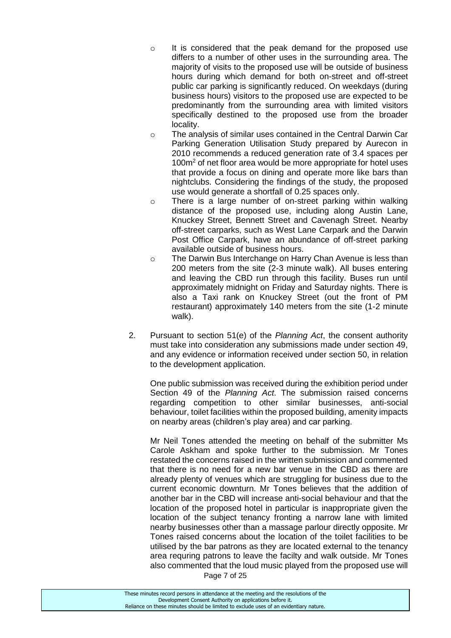- o It is considered that the peak demand for the proposed use differs to a number of other uses in the surrounding area. The majority of visits to the proposed use will be outside of business hours during which demand for both on-street and off-street public car parking is significantly reduced. On weekdays (during business hours) visitors to the proposed use are expected to be predominantly from the surrounding area with limited visitors specifically destined to the proposed use from the broader locality.
- o The analysis of similar uses contained in the Central Darwin Car Parking Generation Utilisation Study prepared by Aurecon in 2010 recommends a reduced generation rate of 3.4 spaces per 100m<sup>2</sup> of net floor area would be more appropriate for hotel uses that provide a focus on dining and operate more like bars than nightclubs. Considering the findings of the study, the proposed use would generate a shortfall of 0.25 spaces only.
- o There is a large number of on-street parking within walking distance of the proposed use, including along Austin Lane, Knuckey Street, Bennett Street and Cavenagh Street. Nearby off-street carparks, such as West Lane Carpark and the Darwin Post Office Carpark, have an abundance of off-street parking available outside of business hours.
- o The Darwin Bus Interchange on Harry Chan Avenue is less than 200 meters from the site (2-3 minute walk). All buses entering and leaving the CBD run through this facility. Buses run until approximately midnight on Friday and Saturday nights. There is also a Taxi rank on Knuckey Street (out the front of PM restaurant) approximately 140 meters from the site (1-2 minute walk).
- 2. Pursuant to section 51(e) of the *Planning Act*, the consent authority must take into consideration any submissions made under section 49, and any evidence or information received under section 50, in relation to the development application.

One public submission was received during the exhibition period under Section 49 of the *Planning Act*. The submission raised concerns regarding competition to other similar businesses, anti-social behaviour, toilet facilities within the proposed building, amenity impacts on nearby areas (children's play area) and car parking.

Mr Neil Tones attended the meeting on behalf of the submitter Ms Carole Askham and spoke further to the submission. Mr Tones restated the concerns raised in the written submission and commented that there is no need for a new bar venue in the CBD as there are already plenty of venues which are struggling for business due to the current economic downturn. Mr Tones believes that the addition of another bar in the CBD will increase anti-social behaviour and that the location of the proposed hotel in particular is inappropriate given the location of the subject tenancy fronting a narrow lane with limited nearby businesses other than a massage parlour directly opposite. Mr Tones raised concerns about the location of the toilet facilities to be utilised by the bar patrons as they are located external to the tenancy area requring patrons to leave the facilty and walk outside. Mr Tones also commented that the loud music played from the proposed use will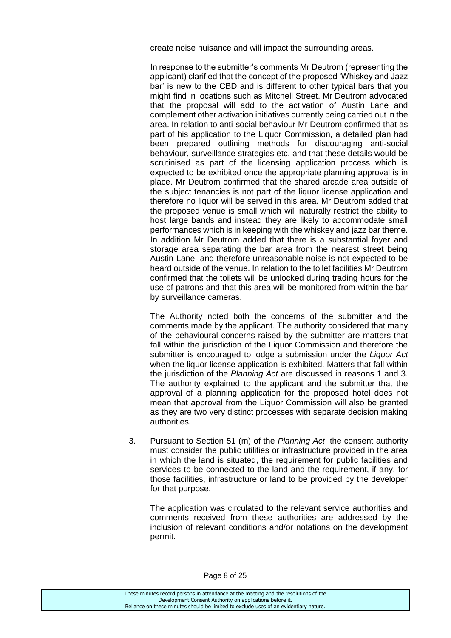create noise nuisance and will impact the surrounding areas.

In response to the submitter's comments Mr Deutrom (representing the applicant) clarified that the concept of the proposed 'Whiskey and Jazz bar' is new to the CBD and is different to other typical bars that you might find in locations such as Mitchell Street. Mr Deutrom advocated that the proposal will add to the activation of Austin Lane and complement other activation initiatives currently being carried out in the area. In relation to anti-social behaviour Mr Deutrom confirmed that as part of his application to the Liquor Commission, a detailed plan had been prepared outlining methods for discouraging anti-social behaviour, surveillance strategies etc. and that these details would be scrutinised as part of the licensing application process which is expected to be exhibited once the appropriate planning approval is in place. Mr Deutrom confirmed that the shared arcade area outside of the subject tenancies is not part of the liquor license application and therefore no liquor will be served in this area. Mr Deutrom added that the proposed venue is small which will naturally restrict the ability to host large bands and instead they are likely to accommodate small performances which is in keeping with the whiskey and jazz bar theme. In addition Mr Deutrom added that there is a substantial foyer and storage area separating the bar area from the nearest street being Austin Lane, and therefore unreasonable noise is not expected to be heard outside of the venue. In relation to the toilet facilities Mr Deutrom confirmed that the toilets will be unlocked during trading hours for the use of patrons and that this area will be monitored from within the bar by surveillance cameras.

The Authority noted both the concerns of the submitter and the comments made by the applicant. The authority considered that many of the behavioural concerns raised by the submitter are matters that fall within the jurisdiction of the Liquor Commission and therefore the submitter is encouraged to lodge a submission under the *Liquor Act* when the liquor license application is exhibited. Matters that fall within the jurisdiction of the *Planning Act* are discussed in reasons 1 and 3. The authority explained to the applicant and the submitter that the approval of a planning application for the proposed hotel does not mean that approval from the Liquor Commission will also be granted as they are two very distinct processes with separate decision making authorities.

3. Pursuant to Section 51 (m) of the *Planning Act*, the consent authority must consider the public utilities or infrastructure provided in the area in which the land is situated, the requirement for public facilities and services to be connected to the land and the requirement, if any, for those facilities, infrastructure or land to be provided by the developer for that purpose.

The application was circulated to the relevant service authorities and comments received from these authorities are addressed by the inclusion of relevant conditions and/or notations on the development permit.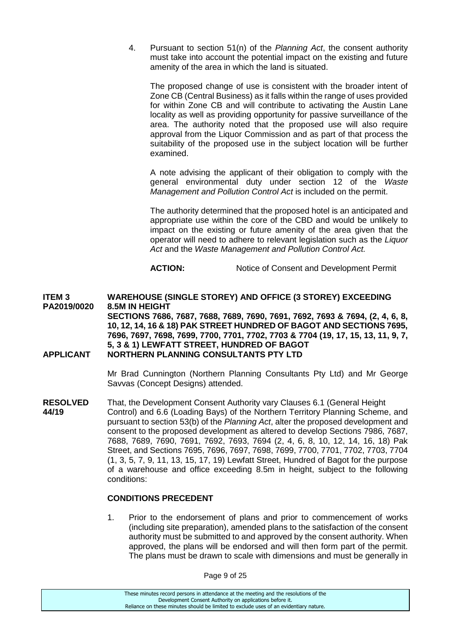4. Pursuant to section 51(n) of the *Planning Act*, the consent authority must take into account the potential impact on the existing and future amenity of the area in which the land is situated.

The proposed change of use is consistent with the broader intent of Zone CB (Central Business) as it falls within the range of uses provided for within Zone CB and will contribute to activating the Austin Lane locality as well as providing opportunity for passive surveillance of the area. The authority noted that the proposed use will also require approval from the Liquor Commission and as part of that process the suitability of the proposed use in the subject location will be further examined.

A note advising the applicant of their obligation to comply with the general environmental duty under section 12 of the *Waste Management and Pollution Control Act* is included on the permit.

The authority determined that the proposed hotel is an anticipated and appropriate use within the core of the CBD and would be unlikely to impact on the existing or future amenity of the area given that the operator will need to adhere to relevant legislation such as the *Liquor Act* and the *Waste Management and Pollution Control Act.*

**ACTION:** Notice of Consent and Development Permit

**ITEM 3 WAREHOUSE (SINGLE STOREY) AND OFFICE (3 STOREY) EXCEEDING PA2019/0020 8.5M IN HEIGHT SECTIONS 7686, 7687, 7688, 7689, 7690, 7691, 7692, 7693 & 7694, (2, 4, 6, 8, 10, 12, 14, 16 & 18) PAK STREET HUNDRED OF BAGOT AND SECTIONS 7695, 7696, 7697, 7698, 7699, 7700, 7701, 7702, 7703 & 7704 (19, 17, 15, 13, 11, 9, 7, 5, 3 & 1) LEWFATT STREET, HUNDRED OF BAGOT APPLICANT NORTHERN PLANNING CONSULTANTS PTY LTD**

> Mr Brad Cunnington (Northern Planning Consultants Pty Ltd) and Mr George Savvas (Concept Designs) attended.

**RESOLVED** That, the Development Consent Authority vary Clauses 6.1 (General Height **44/19** Control) and 6.6 (Loading Bays) of the Northern Territory Planning Scheme **44/19** Control) and 6.6 (Loading Bays) of the Northern Territory Planning Scheme, and pursuant to section 53(b) of the *Planning Act*, alter the proposed development and consent to the proposed development as altered to develop Sections 7986, 7687, 7688, 7689, 7690, 7691, 7692, 7693, 7694 (2, 4, 6, 8, 10, 12, 14, 16, 18) Pak Street, and Sections 7695, 7696, 7697, 7698, 7699, 7700, 7701, 7702, 7703, 7704 (1, 3, 5, 7, 9, 11, 13, 15, 17, 19) Lewfatt Street, Hundred of Bagot for the purpose of a warehouse and office exceeding 8.5m in height, subject to the following conditions:

#### **CONDITIONS PRECEDENT**

1. Prior to the endorsement of plans and prior to commencement of works (including site preparation), amended plans to the satisfaction of the consent authority must be submitted to and approved by the consent authority. When approved, the plans will be endorsed and will then form part of the permit. The plans must be drawn to scale with dimensions and must be generally in

Page 9 of 25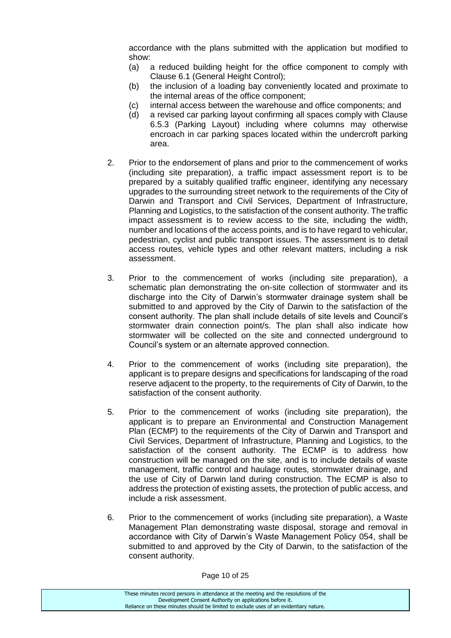accordance with the plans submitted with the application but modified to show:

- (a) a reduced building height for the office component to comply with Clause 6.1 (General Height Control);
- (b) the inclusion of a loading bay conveniently located and proximate to the internal areas of the office component;
- (c) internal access between the warehouse and office components; and
- (d) a revised car parking layout confirming all spaces comply with Clause 6.5.3 (Parking Layout) including where columns may otherwise encroach in car parking spaces located within the undercroft parking area.
- 2. Prior to the endorsement of plans and prior to the commencement of works (including site preparation), a traffic impact assessment report is to be prepared by a suitably qualified traffic engineer, identifying any necessary upgrades to the surrounding street network to the requirements of the City of Darwin and Transport and Civil Services, Department of Infrastructure, Planning and Logistics, to the satisfaction of the consent authority. The traffic impact assessment is to review access to the site, including the width, number and locations of the access points, and is to have regard to vehicular, pedestrian, cyclist and public transport issues. The assessment is to detail access routes, vehicle types and other relevant matters, including a risk assessment.
- 3. Prior to the commencement of works (including site preparation), a schematic plan demonstrating the on-site collection of stormwater and its discharge into the City of Darwin's stormwater drainage system shall be submitted to and approved by the City of Darwin to the satisfaction of the consent authority. The plan shall include details of site levels and Council's stormwater drain connection point/s. The plan shall also indicate how stormwater will be collected on the site and connected underground to Council's system or an alternate approved connection.
- 4. Prior to the commencement of works (including site preparation), the applicant is to prepare designs and specifications for landscaping of the road reserve adjacent to the property, to the requirements of City of Darwin, to the satisfaction of the consent authority.
- 5. Prior to the commencement of works (including site preparation), the applicant is to prepare an Environmental and Construction Management Plan (ECMP) to the requirements of the City of Darwin and Transport and Civil Services, Department of Infrastructure, Planning and Logistics, to the satisfaction of the consent authority. The ECMP is to address how construction will be managed on the site, and is to include details of waste management, traffic control and haulage routes, stormwater drainage, and the use of City of Darwin land during construction. The ECMP is also to address the protection of existing assets, the protection of public access, and include a risk assessment.
- 6. Prior to the commencement of works (including site preparation), a Waste Management Plan demonstrating waste disposal, storage and removal in accordance with City of Darwin's Waste Management Policy 054, shall be submitted to and approved by the City of Darwin, to the satisfaction of the consent authority.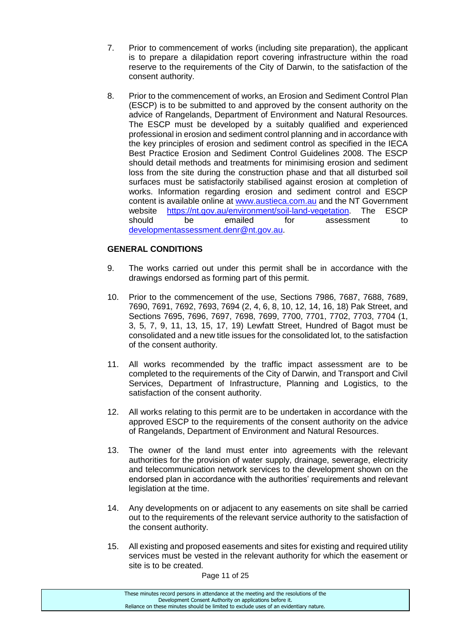- 7. Prior to commencement of works (including site preparation), the applicant is to prepare a dilapidation report covering infrastructure within the road reserve to the requirements of the City of Darwin, to the satisfaction of the consent authority.
- 8. Prior to the commencement of works, an Erosion and Sediment Control Plan (ESCP) is to be submitted to and approved by the consent authority on the advice of Rangelands, Department of Environment and Natural Resources. The ESCP must be developed by a suitably qualified and experienced professional in erosion and sediment control planning and in accordance with the key principles of erosion and sediment control as specified in the IECA Best Practice Erosion and Sediment Control Guidelines 2008. The ESCP should detail methods and treatments for minimising erosion and sediment loss from the site during the construction phase and that all disturbed soil surfaces must be satisfactorily stabilised against erosion at completion of works. Information regarding erosion and sediment control and ESCP content is available online at [www.austieca.com.au](http://www.austieca.com.au/) and the NT Government website [https://nt.gov.au/environment/soil-land-vegetation.](https://nt.gov.au/environment/soil-land-vegetation) The ESCP should be emailed for assessment to [developmentassessment.denr@nt.gov.au.](mailto:developmentassessment.denr@nt.gov.au)

# **GENERAL CONDITIONS**

- 9. The works carried out under this permit shall be in accordance with the drawings endorsed as forming part of this permit.
- 10. Prior to the commencement of the use, Sections 7986, 7687, 7688, 7689, 7690, 7691, 7692, 7693, 7694 (2, 4, 6, 8, 10, 12, 14, 16, 18) Pak Street, and Sections 7695, 7696, 7697, 7698, 7699, 7700, 7701, 7702, 7703, 7704 (1, 3, 5, 7, 9, 11, 13, 15, 17, 19) Lewfatt Street, Hundred of Bagot must be consolidated and a new title issues for the consolidated lot, to the satisfaction of the consent authority.
- 11. All works recommended by the traffic impact assessment are to be completed to the requirements of the City of Darwin, and Transport and Civil Services, Department of Infrastructure, Planning and Logistics, to the satisfaction of the consent authority.
- 12. All works relating to this permit are to be undertaken in accordance with the approved ESCP to the requirements of the consent authority on the advice of Rangelands, Department of Environment and Natural Resources.
- 13. The owner of the land must enter into agreements with the relevant authorities for the provision of water supply, drainage, sewerage, electricity and telecommunication network services to the development shown on the endorsed plan in accordance with the authorities' requirements and relevant legislation at the time.
- 14. Any developments on or adjacent to any easements on site shall be carried out to the requirements of the relevant service authority to the satisfaction of the consent authority.
- 15. All existing and proposed easements and sites for existing and required utility services must be vested in the relevant authority for which the easement or site is to be created.

Page 11 of 25

These minutes record persons in attendance at the meeting and the resolutions of the Development Consent Authority on applications before it. Reliance on these minutes should be limited to exclude uses of an evidentiary nature.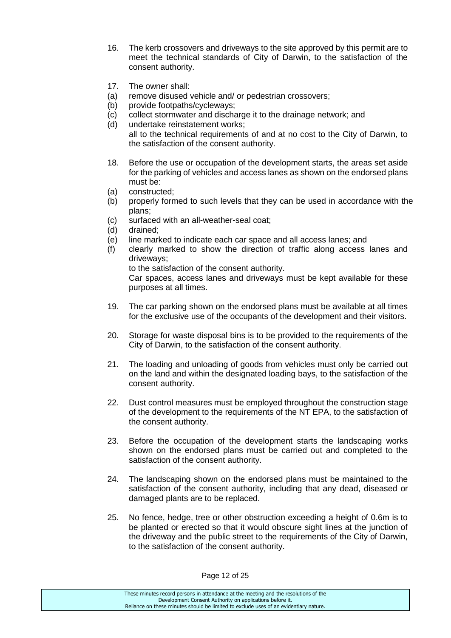- 16. The kerb crossovers and driveways to the site approved by this permit are to meet the technical standards of City of Darwin, to the satisfaction of the consent authority.
- 17. The owner shall:
- (a) remove disused vehicle and/ or pedestrian crossovers;
- (b) provide footpaths/cycleways;
- (c) collect stormwater and discharge it to the drainage network; and
- (d) undertake reinstatement works; all to the technical requirements of and at no cost to the City of Darwin, to the satisfaction of the consent authority.
- 18. Before the use or occupation of the development starts, the areas set aside for the parking of vehicles and access lanes as shown on the endorsed plans must be:
- (a) constructed;
- (b) properly formed to such levels that they can be used in accordance with the plans;
- (c) surfaced with an all-weather-seal coat;
- (d) drained;
- (e) line marked to indicate each car space and all access lanes; and
- (f) clearly marked to show the direction of traffic along access lanes and driveways;

to the satisfaction of the consent authority.

Car spaces, access lanes and driveways must be kept available for these purposes at all times.

- 19. The car parking shown on the endorsed plans must be available at all times for the exclusive use of the occupants of the development and their visitors.
- 20. Storage for waste disposal bins is to be provided to the requirements of the City of Darwin, to the satisfaction of the consent authority.
- 21. The loading and unloading of goods from vehicles must only be carried out on the land and within the designated loading bays, to the satisfaction of the consent authority.
- 22. Dust control measures must be employed throughout the construction stage of the development to the requirements of the NT EPA, to the satisfaction of the consent authority.
- 23. Before the occupation of the development starts the landscaping works shown on the endorsed plans must be carried out and completed to the satisfaction of the consent authority.
- 24. The landscaping shown on the endorsed plans must be maintained to the satisfaction of the consent authority, including that any dead, diseased or damaged plants are to be replaced.
- 25. No fence, hedge, tree or other obstruction exceeding a height of 0.6m is to be planted or erected so that it would obscure sight lines at the junction of the driveway and the public street to the requirements of the City of Darwin, to the satisfaction of the consent authority.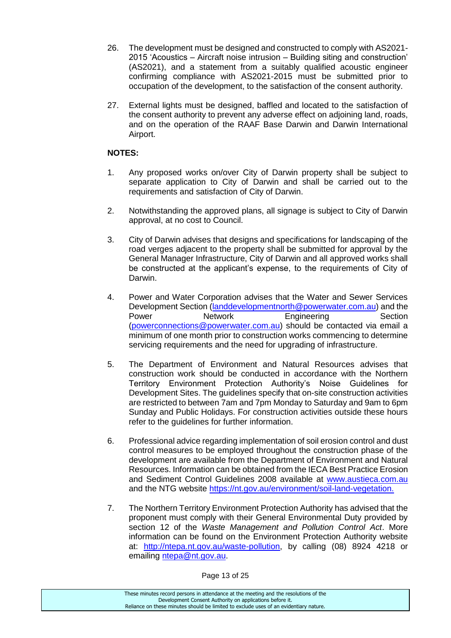- 26. The development must be designed and constructed to comply with AS2021- 2015 'Acoustics – Aircraft noise intrusion – Building siting and construction' (AS2021), and a statement from a suitably qualified acoustic engineer confirming compliance with AS2021-2015 must be submitted prior to occupation of the development, to the satisfaction of the consent authority.
- 27. External lights must be designed, baffled and located to the satisfaction of the consent authority to prevent any adverse effect on adjoining land, roads, and on the operation of the RAAF Base Darwin and Darwin International Airport.

## **NOTES:**

- 1. Any proposed works on/over City of Darwin property shall be subject to separate application to City of Darwin and shall be carried out to the requirements and satisfaction of City of Darwin.
- 2. Notwithstanding the approved plans, all signage is subject to City of Darwin approval, at no cost to Council.
- 3. City of Darwin advises that designs and specifications for landscaping of the road verges adjacent to the property shall be submitted for approval by the General Manager Infrastructure, City of Darwin and all approved works shall be constructed at the applicant's expense, to the requirements of City of Darwin.
- 4. Power and Water Corporation advises that the Water and Sewer Services Development Section [\(landdevelopmentnorth@powerwater.com.au\)](mailto:landdevelopmentnorth@powerwater.com.au) and the Power **Network** Engineering Section [\(powerconnections@powerwater.com.au\)](mailto:powerconnections@powerwater.com.au) should be contacted via email a minimum of one month prior to construction works commencing to determine servicing requirements and the need for upgrading of infrastructure.
- 5. The Department of Environment and Natural Resources advises that construction work should be conducted in accordance with the Northern Territory Environment Protection Authority's Noise Guidelines for Development Sites. The guidelines specify that on-site construction activities are restricted to between 7am and 7pm Monday to Saturday and 9am to 6pm Sunday and Public Holidays. For construction activities outside these hours refer to the guidelines for further information.
- 6. Professional advice regarding implementation of soil erosion control and dust control measures to be employed throughout the construction phase of the development are available from the Department of Environment and Natural Resources. Information can be obtained from the IECA Best Practice Erosion and Sediment Control Guidelines 2008 available at [www.austieca.com.au](http://www.austieca.com.au/) and the NTG website [https://nt.gov.au/environment/soil-land-vegetation.](https://nt.gov.au/environment/soil-land-vegetation)
- 7. The Northern Territory Environment Protection Authority has advised that the proponent must comply with their General Environmental Duty provided by section 12 of the *Waste Management and Pollution Control Act*. More information can be found on the Environment Protection Authority website at: [http://ntepa.nt.gov.au/waste-pollution,](http://ntepa.nt.gov.au/waste-pollution) by calling (08) 8924 4218 or emailing [ntepa@nt.gov.au.](mailto:ntepa@nt.gov.au)

Page 13 of 25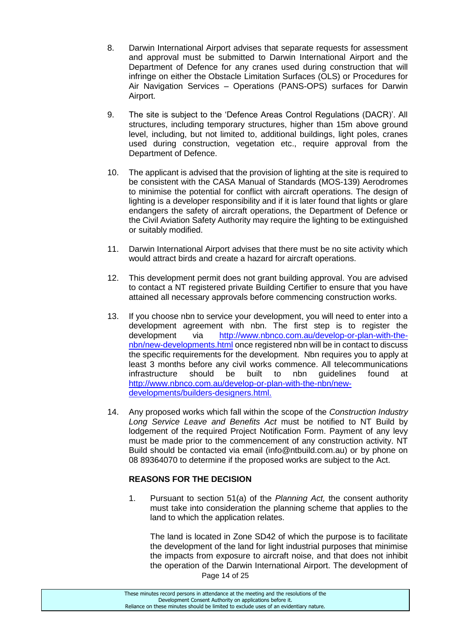- 8. Darwin International Airport advises that separate requests for assessment and approval must be submitted to Darwin International Airport and the Department of Defence for any cranes used during construction that will infringe on either the Obstacle Limitation Surfaces (OLS) or Procedures for Air Navigation Services – Operations (PANS-OPS) surfaces for Darwin Airport.
- 9. The site is subject to the 'Defence Areas Control Regulations (DACR)'. All structures, including temporary structures, higher than 15m above ground level, including, but not limited to, additional buildings, light poles, cranes used during construction, vegetation etc., require approval from the Department of Defence.
- 10. The applicant is advised that the provision of lighting at the site is required to be consistent with the CASA Manual of Standards (MOS-139) Aerodromes to minimise the potential for conflict with aircraft operations. The design of lighting is a developer responsibility and if it is later found that lights or glare endangers the safety of aircraft operations, the Department of Defence or the Civil Aviation Safety Authority may require the lighting to be extinguished or suitably modified.
- 11. Darwin International Airport advises that there must be no site activity which would attract birds and create a hazard for aircraft operations.
- 12. This development permit does not grant building approval. You are advised to contact a NT registered private Building Certifier to ensure that you have attained all necessary approvals before commencing construction works.
- 13. If you choose nbn to service your development, you will need to enter into a development agreement with nbn. The first step is to register the development via [http://www.nbnco.com.au/develop-or-plan-with-the](http://www.nbnco.com.au/develop-or-plan-with-the-nbn/new-developments.html)[nbn/new-developments.html](http://www.nbnco.com.au/develop-or-plan-with-the-nbn/new-developments.html) once registered nbn will be in contact to discuss the specific requirements for the development. Nbn requires you to apply at least 3 months before any civil works commence. All telecommunications infrastructure should be built to nbn guidelines found at [http://www.nbnco.com.au/develop-or-plan-with-the-nbn/new](http://www.nbnco.com.au/develop-or-plan-with-the-nbn/new-developments/builders-designers.html)[developments/builders-designers.html.](http://www.nbnco.com.au/develop-or-plan-with-the-nbn/new-developments/builders-designers.html)
- 14. Any proposed works which fall within the scope of the *Construction Industry Long Service Leave and Benefits Act* must be notified to NT Build by lodgement of the required Project Notification Form. Payment of any levy must be made prior to the commencement of any construction activity. NT Build should be contacted via email (info@ntbuild.com.au) or by phone on 08 89364070 to determine if the proposed works are subject to the Act.

# **REASONS FOR THE DECISION**

1. Pursuant to section 51(a) of the *Planning Act,* the consent authority must take into consideration the planning scheme that applies to the land to which the application relates.

Page 14 of 25 The land is located in Zone SD42 of which the purpose is to facilitate the development of the land for light industrial purposes that minimise the impacts from exposure to aircraft noise, and that does not inhibit the operation of the Darwin International Airport. The development of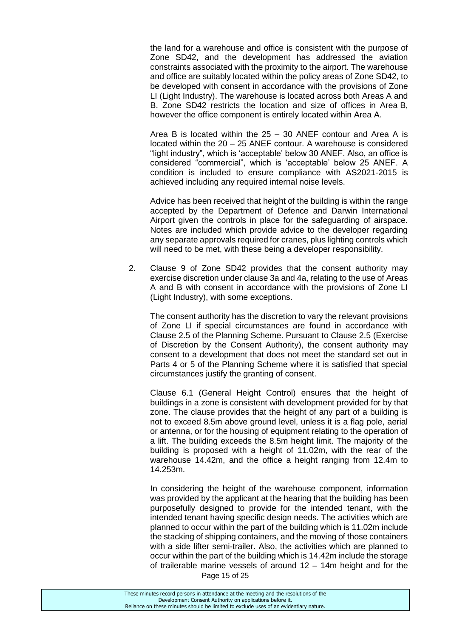the land for a warehouse and office is consistent with the purpose of Zone SD42, and the development has addressed the aviation constraints associated with the proximity to the airport. The warehouse and office are suitably located within the policy areas of Zone SD42, to be developed with consent in accordance with the provisions of Zone LI (Light Industry). The warehouse is located across both Areas A and B. Zone SD42 restricts the location and size of offices in Area B, however the office component is entirely located within Area A.

Area B is located within the 25 – 30 ANEF contour and Area A is located within the 20 – 25 ANEF contour. A warehouse is considered "light industry", which is 'acceptable' below 30 ANEF. Also, an office is considered "commercial", which is 'acceptable' below 25 ANEF. A condition is included to ensure compliance with AS2021-2015 is achieved including any required internal noise levels.

Advice has been received that height of the building is within the range accepted by the Department of Defence and Darwin International Airport given the controls in place for the safeguarding of airspace. Notes are included which provide advice to the developer regarding any separate approvals required for cranes, plus lighting controls which will need to be met, with these being a developer responsibility.

2. Clause 9 of Zone SD42 provides that the consent authority may exercise discretion under clause 3a and 4a, relating to the use of Areas A and B with consent in accordance with the provisions of Zone LI (Light Industry), with some exceptions.

The consent authority has the discretion to vary the relevant provisions of Zone LI if special circumstances are found in accordance with Clause 2.5 of the Planning Scheme. Pursuant to Clause 2.5 (Exercise of Discretion by the Consent Authority), the consent authority may consent to a development that does not meet the standard set out in Parts 4 or 5 of the Planning Scheme where it is satisfied that special circumstances justify the granting of consent.

Clause 6.1 (General Height Control) ensures that the height of buildings in a zone is consistent with development provided for by that zone. The clause provides that the height of any part of a building is not to exceed 8.5m above ground level, unless it is a flag pole, aerial or antenna, or for the housing of equipment relating to the operation of a lift. The building exceeds the 8.5m height limit. The majority of the building is proposed with a height of 11.02m, with the rear of the warehouse 14.42m, and the office a height ranging from 12.4m to 14.253m.

Page 15 of 25 In considering the height of the warehouse component, information was provided by the applicant at the hearing that the building has been purposefully designed to provide for the intended tenant, with the intended tenant having specific design needs. The activities which are planned to occur within the part of the building which is 11.02m include the stacking of shipping containers, and the moving of those containers with a side lifter semi-trailer. Also, the activities which are planned to occur within the part of the building which is 14.42m include the storage of trailerable marine vessels of around 12 – 14m height and for the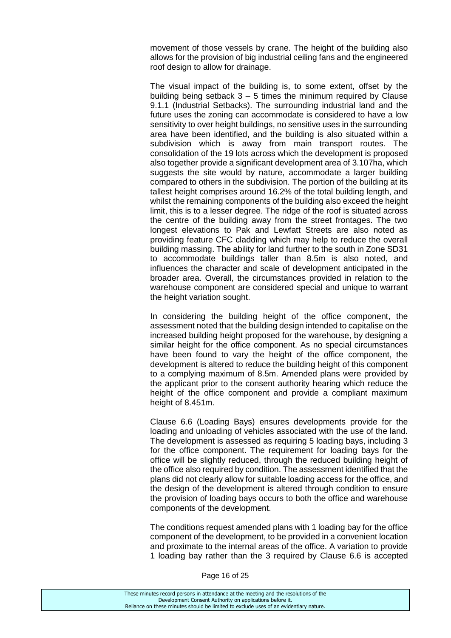movement of those vessels by crane. The height of the building also allows for the provision of big industrial ceiling fans and the engineered roof design to allow for drainage.

The visual impact of the building is, to some extent, offset by the building being setback  $3 - 5$  times the minimum required by Clause 9.1.1 (Industrial Setbacks). The surrounding industrial land and the future uses the zoning can accommodate is considered to have a low sensitivity to over height buildings, no sensitive uses in the surrounding area have been identified, and the building is also situated within a subdivision which is away from main transport routes. The consolidation of the 19 lots across which the development is proposed also together provide a significant development area of 3.107ha, which suggests the site would by nature, accommodate a larger building compared to others in the subdivision. The portion of the building at its tallest height comprises around 16.2% of the total building length, and whilst the remaining components of the building also exceed the height limit, this is to a lesser degree. The ridge of the roof is situated across the centre of the building away from the street frontages. The two longest elevations to Pak and Lewfatt Streets are also noted as providing feature CFC cladding which may help to reduce the overall building massing. The ability for land further to the south in Zone SD31 to accommodate buildings taller than 8.5m is also noted, and influences the character and scale of development anticipated in the broader area. Overall, the circumstances provided in relation to the warehouse component are considered special and unique to warrant the height variation sought.

In considering the building height of the office component, the assessment noted that the building design intended to capitalise on the increased building height proposed for the warehouse, by designing a similar height for the office component. As no special circumstances have been found to vary the height of the office component, the development is altered to reduce the building height of this component to a complying maximum of 8.5m. Amended plans were provided by the applicant prior to the consent authority hearing which reduce the height of the office component and provide a compliant maximum height of 8.451m.

Clause 6.6 (Loading Bays) ensures developments provide for the loading and unloading of vehicles associated with the use of the land. The development is assessed as requiring 5 loading bays, including 3 for the office component. The requirement for loading bays for the office will be slightly reduced, through the reduced building height of the office also required by condition. The assessment identified that the plans did not clearly allow for suitable loading access for the office, and the design of the development is altered through condition to ensure the provision of loading bays occurs to both the office and warehouse components of the development.

The conditions request amended plans with 1 loading bay for the office component of the development, to be provided in a convenient location and proximate to the internal areas of the office. A variation to provide 1 loading bay rather than the 3 required by Clause 6.6 is accepted

Page 16 of 25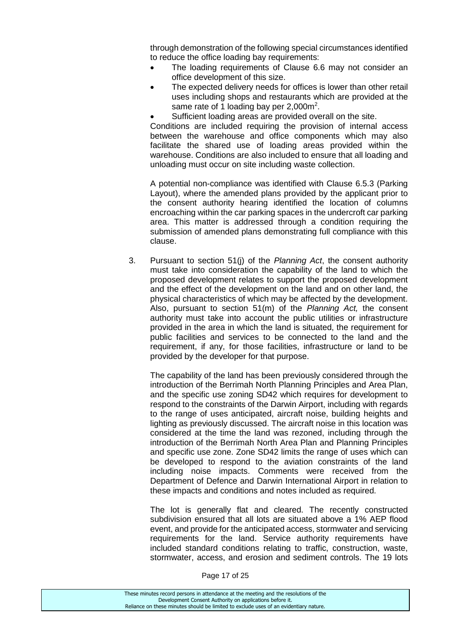through demonstration of the following special circumstances identified to reduce the office loading bay requirements:

- The loading requirements of Clause 6.6 may not consider an office development of this size.
- The expected delivery needs for offices is lower than other retail uses including shops and restaurants which are provided at the same rate of 1 loading bay per 2,000m<sup>2</sup>.
- Sufficient loading areas are provided overall on the site.

Conditions are included requiring the provision of internal access between the warehouse and office components which may also facilitate the shared use of loading areas provided within the warehouse. Conditions are also included to ensure that all loading and unloading must occur on site including waste collection.

A potential non-compliance was identified with Clause 6.5.3 (Parking Layout), where the amended plans provided by the applicant prior to the consent authority hearing identified the location of columns encroaching within the car parking spaces in the undercroft car parking area. This matter is addressed through a condition requiring the submission of amended plans demonstrating full compliance with this clause.

3. Pursuant to section 51(j) of the *Planning Act*, the consent authority must take into consideration the capability of the land to which the proposed development relates to support the proposed development and the effect of the development on the land and on other land, the physical characteristics of which may be affected by the development. Also, pursuant to section 51(m) of the *Planning Act,* the consent authority must take into account the public utilities or infrastructure provided in the area in which the land is situated, the requirement for public facilities and services to be connected to the land and the requirement, if any, for those facilities, infrastructure or land to be provided by the developer for that purpose.

The capability of the land has been previously considered through the introduction of the Berrimah North Planning Principles and Area Plan, and the specific use zoning SD42 which requires for development to respond to the constraints of the Darwin Airport, including with regards to the range of uses anticipated, aircraft noise, building heights and lighting as previously discussed. The aircraft noise in this location was considered at the time the land was rezoned, including through the introduction of the Berrimah North Area Plan and Planning Principles and specific use zone. Zone SD42 limits the range of uses which can be developed to respond to the aviation constraints of the land including noise impacts. Comments were received from the Department of Defence and Darwin International Airport in relation to these impacts and conditions and notes included as required.

The lot is generally flat and cleared. The recently constructed subdivision ensured that all lots are situated above a 1% AEP flood event, and provide for the anticipated access, stormwater and servicing requirements for the land. Service authority requirements have included standard conditions relating to traffic, construction, waste, stormwater, access, and erosion and sediment controls. The 19 lots

| These minutes record persons in attendance at the meeting and the resolutions of the  |
|---------------------------------------------------------------------------------------|
| Development Consent Authority on applications before it.                              |
| Reliance on these minutes should be limited to exclude uses of an evidentiary nature. |
|                                                                                       |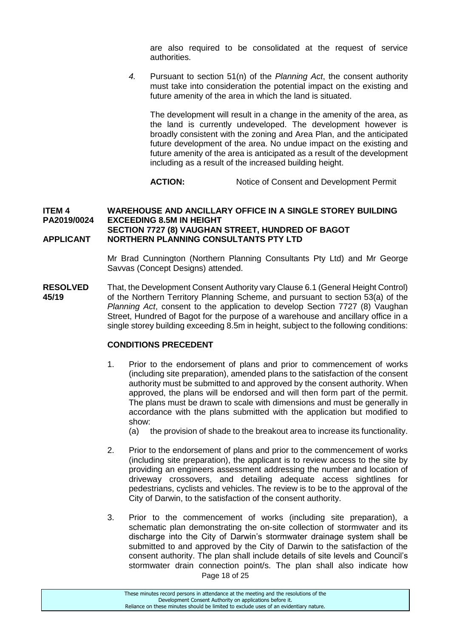are also required to be consolidated at the request of service authorities.

*4.* Pursuant to section 51(n) of the *Planning Act*, the consent authority must take into consideration the potential impact on the existing and future amenity of the area in which the land is situated.

The development will result in a change in the amenity of the area, as the land is currently undeveloped. The development however is broadly consistent with the zoning and Area Plan, and the anticipated future development of the area. No undue impact on the existing and future amenity of the area is anticipated as a result of the development including as a result of the increased building height.

**ACTION:** Notice of Consent and Development Permit

#### **ITEM 4 WAREHOUSE AND ANCILLARY OFFICE IN A SINGLE STOREY BUILDING PA2019/0024 EXCEEDING 8.5M IN HEIGHT SECTION 7727 (8) VAUGHAN STREET, HUNDRED OF BAGOT APPLICANT NORTHERN PLANNING CONSULTANTS PTY LTD**

Mr Brad Cunnington (Northern Planning Consultants Pty Ltd) and Mr George Savvas (Concept Designs) attended.

**RESOLVED** That, the Development Consent Authority vary Clause 6.1 (General Height Control) **45/19** of the Northern Territory Planning Scheme, and pursuant to section 53(a) of the *Planning Act*, consent to the application to develop Section 7727 (8) Vaughan Street, Hundred of Bagot for the purpose of a warehouse and ancillary office in a single storey building exceeding 8.5m in height, subject to the following conditions:

# **CONDITIONS PRECEDENT**

- 1. Prior to the endorsement of plans and prior to commencement of works (including site preparation), amended plans to the satisfaction of the consent authority must be submitted to and approved by the consent authority. When approved, the plans will be endorsed and will then form part of the permit. The plans must be drawn to scale with dimensions and must be generally in accordance with the plans submitted with the application but modified to show:
	- (a) the provision of shade to the breakout area to increase its functionality.
- 2. Prior to the endorsement of plans and prior to the commencement of works (including site preparation), the applicant is to review access to the site by providing an engineers assessment addressing the number and location of driveway crossovers, and detailing adequate access sightlines for pedestrians, cyclists and vehicles. The review is to be to the approval of the City of Darwin, to the satisfaction of the consent authority.
- Page 18 of 25 3. Prior to the commencement of works (including site preparation), a schematic plan demonstrating the on-site collection of stormwater and its discharge into the City of Darwin's stormwater drainage system shall be submitted to and approved by the City of Darwin to the satisfaction of the consent authority. The plan shall include details of site levels and Council's stormwater drain connection point/s. The plan shall also indicate how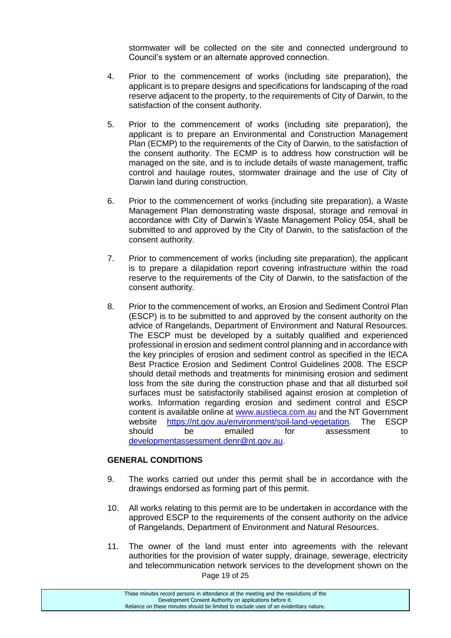stormwater will be collected on the site and connected underground to Council's system or an alternate approved connection.

- 4. Prior to the commencement of works (including site preparation), the applicant is to prepare designs and specifications for landscaping of the road reserve adjacent to the property, to the requirements of City of Darwin, to the satisfaction of the consent authority.
- 5. Prior to the commencement of works (including site preparation), the applicant is to prepare an Environmental and Construction Management Plan (ECMP) to the requirements of the City of Darwin, to the satisfaction of the consent authority. The ECMP is to address how construction will be managed on the site, and is to include details of waste management, traffic control and haulage routes, stormwater drainage and the use of City of Darwin land during construction.
- 6. Prior to the commencement of works (including site preparation), a Waste Management Plan demonstrating waste disposal, storage and removal in accordance with City of Darwin's Waste Management Policy 054, shall be submitted to and approved by the City of Darwin, to the satisfaction of the consent authority.
- 7. Prior to commencement of works (including site preparation), the applicant is to prepare a dilapidation report covering infrastructure within the road reserve to the requirements of the City of Darwin, to the satisfaction of the consent authority.
- 8. Prior to the commencement of works, an Erosion and Sediment Control Plan (ESCP) is to be submitted to and approved by the consent authority on the advice of Rangelands, Department of Environment and Natural Resources. The ESCP must be developed by a suitably qualified and experienced professional in erosion and sediment control planning and in accordance with the key principles of erosion and sediment control as specified in the IECA Best Practice Erosion and Sediment Control Guidelines 2008. The ESCP should detail methods and treatments for minimising erosion and sediment loss from the site during the construction phase and that all disturbed soil surfaces must be satisfactorily stabilised against erosion at completion of works. Information regarding erosion and sediment control and ESCP content is available online at [www.austieca.com.au](http://www.austieca.com.au/) and the NT Government website [https://nt.gov.au/environment/soil-land-vegetation.](https://nt.gov.au/environment/soil-land-vegetation) The ESCP should be emailed for assessment to [developmentassessment.denr@nt.gov.au.](mailto:developmentassessment.denr@nt.gov.au)

#### **GENERAL CONDITIONS**

- 9. The works carried out under this permit shall be in accordance with the drawings endorsed as forming part of this permit.
- 10. All works relating to this permit are to be undertaken in accordance with the approved ESCP to the requirements of the consent authority on the advice of Rangelands, Department of Environment and Natural Resources.
- Page 19 of 25 11. The owner of the land must enter into agreements with the relevant authorities for the provision of water supply, drainage, sewerage, electricity and telecommunication network services to the development shown on the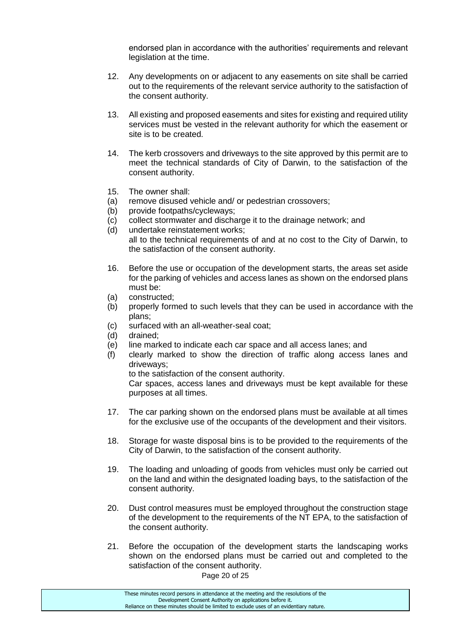endorsed plan in accordance with the authorities' requirements and relevant legislation at the time.

- 12. Any developments on or adjacent to any easements on site shall be carried out to the requirements of the relevant service authority to the satisfaction of the consent authority.
- 13. All existing and proposed easements and sites for existing and required utility services must be vested in the relevant authority for which the easement or site is to be created.
- 14. The kerb crossovers and driveways to the site approved by this permit are to meet the technical standards of City of Darwin, to the satisfaction of the consent authority.
- 15. The owner shall:
- (a) remove disused vehicle and/ or pedestrian crossovers;
- (b) provide footpaths/cycleways;
- (c) collect stormwater and discharge it to the drainage network; and
- (d) undertake reinstatement works; all to the technical requirements of and at no cost to the City of Darwin, to the satisfaction of the consent authority.
- 16. Before the use or occupation of the development starts, the areas set aside for the parking of vehicles and access lanes as shown on the endorsed plans must be:
- (a) constructed;
- (b) properly formed to such levels that they can be used in accordance with the plans;
- (c) surfaced with an all-weather-seal coat;
- (d) drained;
- (e) line marked to indicate each car space and all access lanes; and
- (f) clearly marked to show the direction of traffic along access lanes and driveways;

to the satisfaction of the consent authority.

Car spaces, access lanes and driveways must be kept available for these purposes at all times.

- 17. The car parking shown on the endorsed plans must be available at all times for the exclusive use of the occupants of the development and their visitors.
- 18. Storage for waste disposal bins is to be provided to the requirements of the City of Darwin, to the satisfaction of the consent authority.
- 19. The loading and unloading of goods from vehicles must only be carried out on the land and within the designated loading bays, to the satisfaction of the consent authority.
- 20. Dust control measures must be employed throughout the construction stage of the development to the requirements of the NT EPA, to the satisfaction of the consent authority.
- 21. Before the occupation of the development starts the landscaping works shown on the endorsed plans must be carried out and completed to the satisfaction of the consent authority.

Page 20 of 25

These minutes record persons in attendance at the meeting and the resolutions of the Development Consent Authority on applications before it. Reliance on these minutes should be limited to exclude uses of an evidentiary nature.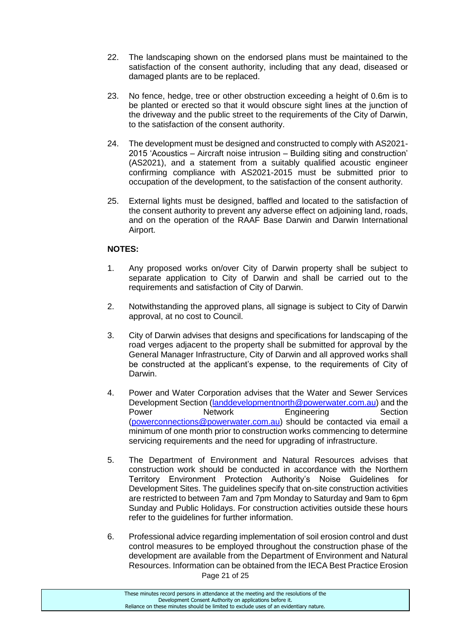- 22. The landscaping shown on the endorsed plans must be maintained to the satisfaction of the consent authority, including that any dead, diseased or damaged plants are to be replaced.
- 23. No fence, hedge, tree or other obstruction exceeding a height of 0.6m is to be planted or erected so that it would obscure sight lines at the junction of the driveway and the public street to the requirements of the City of Darwin, to the satisfaction of the consent authority.
- 24. The development must be designed and constructed to comply with AS2021- 2015 'Acoustics – Aircraft noise intrusion – Building siting and construction' (AS2021), and a statement from a suitably qualified acoustic engineer confirming compliance with AS2021-2015 must be submitted prior to occupation of the development, to the satisfaction of the consent authority.
- 25. External lights must be designed, baffled and located to the satisfaction of the consent authority to prevent any adverse effect on adjoining land, roads, and on the operation of the RAAF Base Darwin and Darwin International Airport.

# **NOTES:**

- 1. Any proposed works on/over City of Darwin property shall be subject to separate application to City of Darwin and shall be carried out to the requirements and satisfaction of City of Darwin.
- 2. Notwithstanding the approved plans, all signage is subject to City of Darwin approval, at no cost to Council.
- 3. City of Darwin advises that designs and specifications for landscaping of the road verges adjacent to the property shall be submitted for approval by the General Manager Infrastructure, City of Darwin and all approved works shall be constructed at the applicant's expense, to the requirements of City of Darwin.
- 4. Power and Water Corporation advises that the Water and Sewer Services Development Section [\(landdevelopmentnorth@powerwater.com.au\)](mailto:landdevelopmentnorth@powerwater.com.au) and the Power **Network** Engineering Section [\(powerconnections@powerwater.com.au\)](mailto:powerconnections@powerwater.com.au) should be contacted via email a minimum of one month prior to construction works commencing to determine servicing requirements and the need for upgrading of infrastructure.
- 5. The Department of Environment and Natural Resources advises that construction work should be conducted in accordance with the Northern Territory Environment Protection Authority's Noise Guidelines for Development Sites. The guidelines specify that on-site construction activities are restricted to between 7am and 7pm Monday to Saturday and 9am to 6pm Sunday and Public Holidays. For construction activities outside these hours refer to the guidelines for further information.
- Page 21 of 25 6. Professional advice regarding implementation of soil erosion control and dust control measures to be employed throughout the construction phase of the development are available from the Department of Environment and Natural Resources. Information can be obtained from the IECA Best Practice Erosion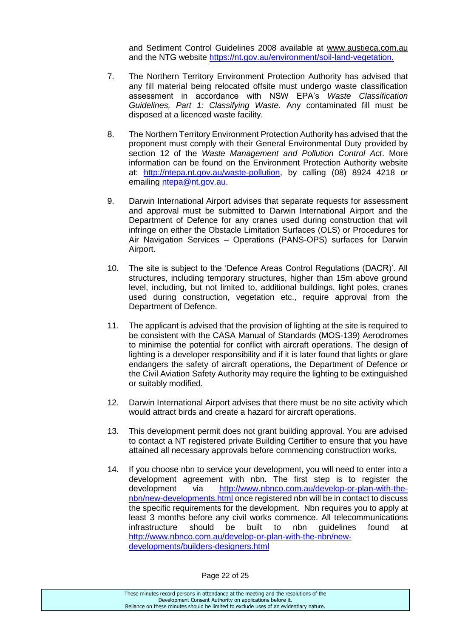and Sediment Control Guidelines 2008 available at [www.austieca.com.au](http://www.austieca.com.au/) and the NTG website [https://nt.gov.au/environment/soil-land-vegetation.](https://nt.gov.au/environment/soil-land-vegetation)

- 7. The Northern Territory Environment Protection Authority has advised that any fill material being relocated offsite must undergo waste classification assessment in accordance with NSW EPA's *Waste Classification Guidelines, Part 1: Classifying Waste.* Any contaminated fill must be disposed at a licenced waste facility.
- 8. The Northern Territory Environment Protection Authority has advised that the proponent must comply with their General Environmental Duty provided by section 12 of the *Waste Management and Pollution Control Act*. More information can be found on the Environment Protection Authority website at: [http://ntepa.nt.gov.au/waste-pollution,](http://ntepa.nt.gov.au/waste-pollution) by calling (08) 8924 4218 or emailing [ntepa@nt.gov.au.](mailto:ntepa@nt.gov.au)
- 9. Darwin International Airport advises that separate requests for assessment and approval must be submitted to Darwin International Airport and the Department of Defence for any cranes used during construction that will infringe on either the Obstacle Limitation Surfaces (OLS) or Procedures for Air Navigation Services – Operations (PANS-OPS) surfaces for Darwin Airport.
- 10. The site is subject to the 'Defence Areas Control Regulations (DACR)'. All structures, including temporary structures, higher than 15m above ground level, including, but not limited to, additional buildings, light poles, cranes used during construction, vegetation etc., require approval from the Department of Defence.
- 11. The applicant is advised that the provision of lighting at the site is required to be consistent with the CASA Manual of Standards (MOS-139) Aerodromes to minimise the potential for conflict with aircraft operations. The design of lighting is a developer responsibility and if it is later found that lights or glare endangers the safety of aircraft operations, the Department of Defence or the Civil Aviation Safety Authority may require the lighting to be extinguished or suitably modified.
- 12. Darwin International Airport advises that there must be no site activity which would attract birds and create a hazard for aircraft operations.
- 13. This development permit does not grant building approval. You are advised to contact a NT registered private Building Certifier to ensure that you have attained all necessary approvals before commencing construction works.
- 14. If you choose nbn to service your development, you will need to enter into a development agreement with nbn. The first step is to register the development via [http://www.nbnco.com.au/develop-or-plan-with-the](http://www.nbnco.com.au/develop-or-plan-with-the-nbn/new-developments.html)[nbn/new-developments.html](http://www.nbnco.com.au/develop-or-plan-with-the-nbn/new-developments.html) once registered nbn will be in contact to discuss the specific requirements for the development. Nbn requires you to apply at least 3 months before any civil works commence. All telecommunications infrastructure should be built to nbn guidelines found at [http://www.nbnco.com.au/develop-or-plan-with-the-nbn/new](http://www.nbnco.com.au/develop-or-plan-with-the-nbn/new-developments/builders-designers.html)[developments/builders-designers.html](http://www.nbnco.com.au/develop-or-plan-with-the-nbn/new-developments/builders-designers.html)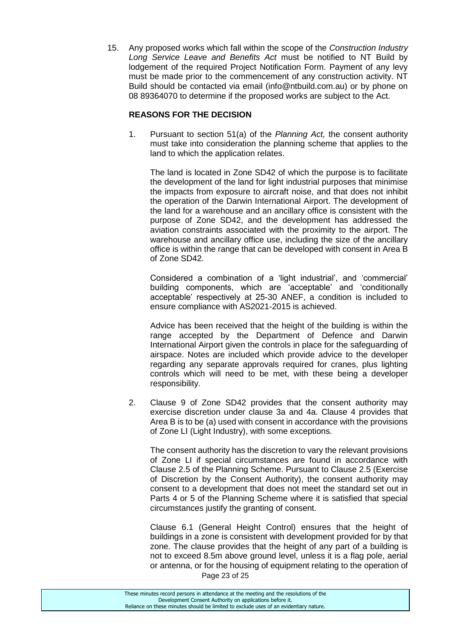15. Any proposed works which fall within the scope of the *Construction Industry Long Service Leave and Benefits Act* must be notified to NT Build by lodgement of the required Project Notification Form. Payment of any levy must be made prior to the commencement of any construction activity. NT Build should be contacted via email (info@ntbuild.com.au) or by phone on 08 89364070 to determine if the proposed works are subject to the Act.

### **REASONS FOR THE DECISION**

1. Pursuant to section 51(a) of the *Planning Act,* the consent authority must take into consideration the planning scheme that applies to the land to which the application relates.

The land is located in Zone SD42 of which the purpose is to facilitate the development of the land for light industrial purposes that minimise the impacts from exposure to aircraft noise, and that does not inhibit the operation of the Darwin International Airport. The development of the land for a warehouse and an ancillary office is consistent with the purpose of Zone SD42, and the development has addressed the aviation constraints associated with the proximity to the airport. The warehouse and ancillary office use, including the size of the ancillary office is within the range that can be developed with consent in Area B of Zone SD42.

Considered a combination of a 'light industrial', and 'commercial' building components, which are 'acceptable' and 'conditionally acceptable' respectively at 25-30 ANEF, a condition is included to ensure compliance with AS2021-2015 is achieved.

Advice has been received that the height of the building is within the range accepted by the Department of Defence and Darwin International Airport given the controls in place for the safeguarding of airspace. Notes are included which provide advice to the developer regarding any separate approvals required for cranes, plus lighting controls which will need to be met, with these being a developer responsibility.

2. Clause 9 of Zone SD42 provides that the consent authority may exercise discretion under clause 3a and 4a. Clause 4 provides that Area B is to be (a) used with consent in accordance with the provisions of Zone LI (Light Industry), with some exceptions.

The consent authority has the discretion to vary the relevant provisions of Zone LI if special circumstances are found in accordance with Clause 2.5 of the Planning Scheme. Pursuant to Clause 2.5 (Exercise of Discretion by the Consent Authority), the consent authority may consent to a development that does not meet the standard set out in Parts 4 or 5 of the Planning Scheme where it is satisfied that special circumstances justify the granting of consent.

Page 23 of 25 Clause 6.1 (General Height Control) ensures that the height of buildings in a zone is consistent with development provided for by that zone. The clause provides that the height of any part of a building is not to exceed 8.5m above ground level, unless it is a flag pole, aerial or antenna, or for the housing of equipment relating to the operation of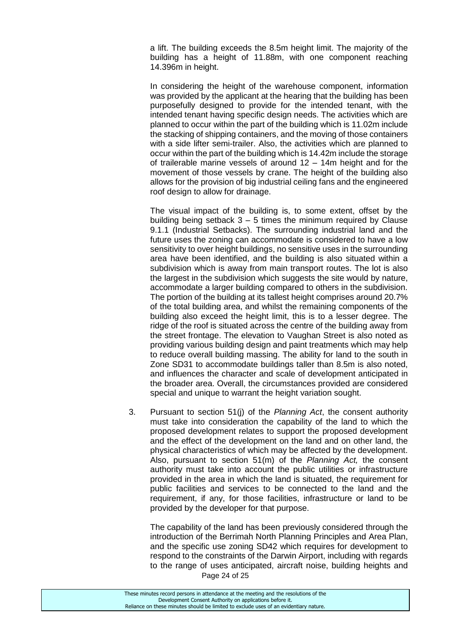a lift. The building exceeds the 8.5m height limit. The majority of the building has a height of 11.88m, with one component reaching 14.396m in height.

In considering the height of the warehouse component, information was provided by the applicant at the hearing that the building has been purposefully designed to provide for the intended tenant, with the intended tenant having specific design needs. The activities which are planned to occur within the part of the building which is 11.02m include the stacking of shipping containers, and the moving of those containers with a side lifter semi-trailer. Also, the activities which are planned to occur within the part of the building which is 14.42m include the storage of trailerable marine vessels of around 12 – 14m height and for the movement of those vessels by crane. The height of the building also allows for the provision of big industrial ceiling fans and the engineered roof design to allow for drainage.

The visual impact of the building is, to some extent, offset by the building being setback  $3 - 5$  times the minimum required by Clause 9.1.1 (Industrial Setbacks). The surrounding industrial land and the future uses the zoning can accommodate is considered to have a low sensitivity to over height buildings, no sensitive uses in the surrounding area have been identified, and the building is also situated within a subdivision which is away from main transport routes. The lot is also the largest in the subdivision which suggests the site would by nature, accommodate a larger building compared to others in the subdivision. The portion of the building at its tallest height comprises around 20.7% of the total building area, and whilst the remaining components of the building also exceed the height limit, this is to a lesser degree. The ridge of the roof is situated across the centre of the building away from the street frontage. The elevation to Vaughan Street is also noted as providing various building design and paint treatments which may help to reduce overall building massing. The ability for land to the south in Zone SD31 to accommodate buildings taller than 8.5m is also noted, and influences the character and scale of development anticipated in the broader area. Overall, the circumstances provided are considered special and unique to warrant the height variation sought.

3. Pursuant to section 51(j) of the *Planning Act*, the consent authority must take into consideration the capability of the land to which the proposed development relates to support the proposed development and the effect of the development on the land and on other land, the physical characteristics of which may be affected by the development. Also, pursuant to section 51(m) of the *Planning Act,* the consent authority must take into account the public utilities or infrastructure provided in the area in which the land is situated, the requirement for public facilities and services to be connected to the land and the requirement, if any, for those facilities, infrastructure or land to be provided by the developer for that purpose.

Page 24 of 25 The capability of the land has been previously considered through the introduction of the Berrimah North Planning Principles and Area Plan, and the specific use zoning SD42 which requires for development to respond to the constraints of the Darwin Airport, including with regards to the range of uses anticipated, aircraft noise, building heights and